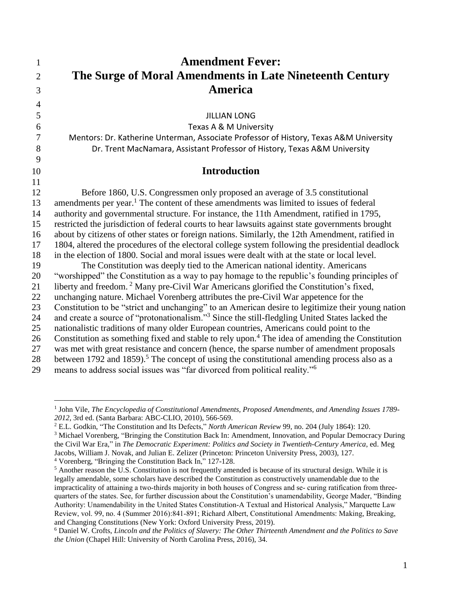| 1              | <b>Amendment Fever:</b>                                                                                                                                                                  |
|----------------|------------------------------------------------------------------------------------------------------------------------------------------------------------------------------------------|
| $\overline{2}$ | The Surge of Moral Amendments in Late Nineteenth Century                                                                                                                                 |
| 3              | <b>America</b>                                                                                                                                                                           |
| $\overline{4}$ |                                                                                                                                                                                          |
| 5              | <b>JILLIAN LONG</b>                                                                                                                                                                      |
| 6              | Texas A & M University                                                                                                                                                                   |
| $\tau$         | Mentors: Dr. Katherine Unterman, Associate Professor of History, Texas A&M University                                                                                                    |
| 8              | Dr. Trent MacNamara, Assistant Professor of History, Texas A&M University                                                                                                                |
| 9              |                                                                                                                                                                                          |
| 10             | <b>Introduction</b>                                                                                                                                                                      |
| 11             |                                                                                                                                                                                          |
| 12             | Before 1860, U.S. Congressmen only proposed an average of 3.5 constitutional                                                                                                             |
| 13             | amendments per year. <sup>1</sup> The content of these amendments was limited to issues of federal                                                                                       |
| 14             | authority and governmental structure. For instance, the 11th Amendment, ratified in 1795,                                                                                                |
| 15             | restricted the jurisdiction of federal courts to hear lawsuits against state governments brought                                                                                         |
| 16             | about by citizens of other states or foreign nations. Similarly, the 12th Amendment, ratified in                                                                                         |
| 17             | 1804, altered the procedures of the electoral college system following the presidential deadlock                                                                                         |
| 18             | in the election of 1800. Social and moral issues were dealt with at the state or local level.                                                                                            |
| 19             | The Constitution was deeply tied to the American national identity. Americans                                                                                                            |
| 20             | "worshipped" the Constitution as a way to pay homage to the republic's founding principles of                                                                                            |
| 21<br>22       | liberty and freedom. <sup>2</sup> Many pre-Civil War Americans glorified the Constitution's fixed,                                                                                       |
| 23             | unchanging nature. Michael Vorenberg attributes the pre-Civil War appetence for the<br>Constitution to be "strict and unchanging" to an American desire to legitimize their young nation |
| 24             | and create a source of "protonationalism." <sup>3</sup> Since the still-fledgling United States lacked the                                                                               |
| 25             | nationalistic traditions of many older European countries, Americans could point to the                                                                                                  |
| 26             | Constitution as something fixed and stable to rely upon. <sup>4</sup> The idea of amending the Constitution                                                                              |
| 27             | was met with great resistance and concern (hence, the sparse number of amendment proposals                                                                                               |
| 28             | between 1792 and 1859). <sup>5</sup> The concept of using the constitutional amending process also as a                                                                                  |
| 29             | means to address social issues was "far divorced from political reality." <sup>6</sup>                                                                                                   |
|                |                                                                                                                                                                                          |

<sup>1</sup> John Vile, *The Encyclopedia of Constitutional Amendments, Proposed Amendments, and Amending Issues 1789- 2012,* 3rd ed. (Santa Barbara: ABC-CLIO, 2010), 566-569.

<sup>2</sup> E.L. Godkin, "The Constitution and Its Defects," *North American Review* 99, no. 204 (July 1864): 120.

<sup>3</sup> Michael Vorenberg, "Bringing the Constitution Back In: Amendment, Innovation, and Popular Democracy During the Civil War Era," in *The Democratic Experiment: Politics and Society in Twentieth-Century America*, ed. Meg Jacobs, William J. Novak, and Julian E. Zelizer (Princeton: Princeton University Press, 2003), 127.

<sup>4</sup> Vorenberg, "Bringing the Constitution Back In," 127-128.

<sup>&</sup>lt;sup>5</sup> Another reason the U.S. Constitution is not frequently amended is because of its structural design. While it is legally amendable, some scholars have described the Constitution as constructively unamendable due to the impracticality of attaining a two-thirds majority in both houses of Congress and se- curing ratification from threequarters of the states. See, for further discussion about the Constitution's unamendability, George Mader, "Binding Authority: Unamendability in the United States Constitution‐A Textual and Historical Analysis," Marquette Law Review, vol. 99, no. 4 (Summer 2016):841‐891; Richard Albert, Constitutional Amendments: Making, Breaking, and Changing Constitutions (New York: Oxford University Press, 2019).

<sup>6</sup> Daniel W. Crofts, *Lincoln and the Politics of Slavery: The Other Thirteenth Amendment and the Politics to Save the Union* (Chapel Hill: University of North Carolina Press, 2016), 34.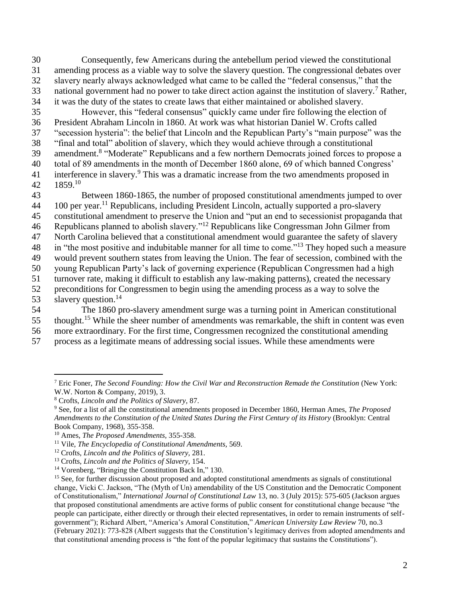Consequently, few Americans during the antebellum period viewed the constitutional amending process as a viable way to solve the slavery question. The congressional debates over slavery nearly always acknowledged what came to be called the "federal consensus," that the 33 national government had no power to take direct action against the institution of slavery.<sup>7</sup> Rather, it was the duty of the states to create laws that either maintained or abolished slavery.

 However, this "federal consensus" quickly came under fire following the election of President Abraham Lincoln in 1860. At work was what historian Daniel W. Crofts called "secession hysteria": the belief that Lincoln and the Republican Party's "main purpose" was the "final and total" abolition of slavery, which they would achieve through a constitutional 39 amendment.<sup>8</sup> "Moderate" Republicans and a few northern Democrats joined forces to propose a total of 89 amendments in the month of December 1860 alone, 69 of which banned Congress' 41 interference in slavery.<sup>9</sup> This was a dramatic increase from the two amendments proposed in 1859.<sup>10</sup>

 Between 1860-1865, the number of proposed constitutional amendments jumped to over per year.<sup>11</sup> Republicans, including President Lincoln, actually supported a pro-slavery constitutional amendment to preserve the Union and "put an end to secessionist propaganda that 46 Republicans planned to abolish slavery."<sup>12</sup> Republicans like Congressman John Gilmer from North Carolina believed that a constitutional amendment would guarantee the safety of slavery 48 in "the most positive and indubitable manner for all time to come."<sup>13</sup> They hoped such a measure would prevent southern states from leaving the Union. The fear of secession, combined with the young Republican Party's lack of governing experience (Republican Congressmen had a high turnover rate, making it difficult to establish any law-making patterns), created the necessary preconditions for Congressmen to begin using the amending process as a way to solve the 53 slavery question.<sup>14</sup>

 The 1860 pro-slavery amendment surge was a turning point in American constitutional thought.<sup>15</sup> While the sheer number of amendments was remarkable, the shift in content was even more extraordinary. For the first time, Congressmen recognized the constitutional amending

process as a legitimate means of addressing social issues. While these amendments were

 Eric Foner, *The Second Founding: How the Civil War and Reconstruction Remade the Constitution* (New York: W.W. Norton & Company, 2019), 3.

Crofts, *Lincoln and the Politics of Slavery,* 87.

 See, for a list of all the constitutional amendments proposed in December 1860, Herman Ames, *The Proposed Amendments to the Constitution of the United States During the First Century of its History* (Brooklyn: Central Book Company, 1968), 355-358.

Ames, *The Proposed Amendments,* 355-358.

Vile, *The Encyclopedia of Constitutional Amendments,* 569.

Crofts, *Lincoln and the Politics of Slavery,* 281.

Crofts*, Lincoln and the Politics of Slavery,* 154.

Vorenberg, "Bringing the Constitution Back In," 130.

<sup>&</sup>lt;sup>15</sup> See, for further discussion about proposed and adopted constitutional amendments as signals of constitutional change, Vicki C. Jackson, "The (Myth of Un) amendability of the US Constitution and the Democratic Component of Constitutionalism," *International Journal of Constitutional Law* 13, no. 3 (July 2015): 575-605 (Jackson argues that proposed constitutional amendments are active forms of public consent for constitutional change because "the people can participate, either directly or through their elected representatives, in order to remain instruments of selfgovernment"); Richard Albert, "America's Amoral Constitution," *American University Law Review* 70, no.3 (February 2021): 773-828 (Albert suggests that the Constitution's legitimacy derives from adopted amendments and that constitutional amending process is "the font of the popular legitimacy that sustains the Constitutions").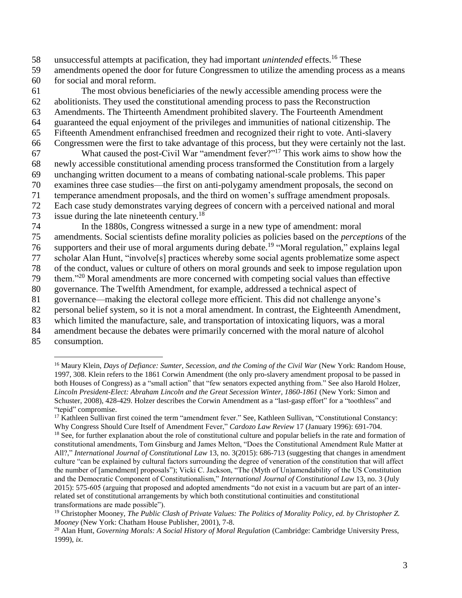58 unsuccessful attempts at pacification, they had important *unintended* effects.<sup>16</sup> These

59 amendments opened the door for future Congressmen to utilize the amending process as a means 60 for social and moral reform.

 The most obvious beneficiaries of the newly accessible amending process were the abolitionists. They used the constitutional amending process to pass the Reconstruction Amendments. The Thirteenth Amendment prohibited slavery. The Fourteenth Amendment guaranteed the equal enjoyment of the privileges and immunities of national citizenship. The Fifteenth Amendment enfranchised freedmen and recognized their right to vote. Anti-slavery Congressmen were the first to take advantage of this process, but they were certainly not the last. 67 What caused the post-Civil War "amendment fever?"<sup>17</sup> This work aims to show how the newly accessible constitutional amending process transformed the Constitution from a largely

69 unchanging written document to a means of combating national-scale problems. This paper

70 examines three case studies—the first on anti-polygamy amendment proposals, the second on

71 temperance amendment proposals, and the third on women's suffrage amendment proposals.

72 Each case study demonstrates varying degrees of concern with a perceived national and moral 73 issue during the late nineteenth century.<sup>18</sup>

74 In the 1880s, Congress witnessed a surge in a new type of amendment: moral

75 amendments. Social scientists define morality policies as policies based on the *perceptions* of the

76 supporters and their use of moral arguments during debate.<sup>19</sup> "Moral regulation," explains legal

77 scholar Alan Hunt, "involve[s] practices whereby some social agents problematize some aspect

78 of the conduct, values or culture of others on moral grounds and seek to impose regulation upon  $179$  them." <sup>20</sup> Moral amendments are more concerned with competing social values than effective

80 governance. The Twelfth Amendment, for example, addressed a technical aspect of

81 governance—making the electoral college more efficient. This did not challenge anyone's

82 personal belief system, so it is not a moral amendment. In contrast, the Eighteenth Amendment,

83 which limited the manufacture, sale, and transportation of intoxicating liquors, was a moral

84 amendment because the debates were primarily concerned with the moral nature of alcohol

85 consumption.

 $\overline{a}$ <sup>16</sup> Maury Klein, *Days of Defiance: Sumter, Secession, and the Coming of the Civil War* (New York: Random House, 1997, 308. Klein refers to the 1861 Corwin Amendment (the only pro-slavery amendment proposal to be passed in both Houses of Congress) as a "small action" that "few senators expected anything from." See also Harold Holzer, *Lincoln President-Elect: Abraham Lincoln and the Great Secession Winter, 1860-1861* (New York: Simon and Schuster, 2008), 428-429. Holzer describes the Corwin Amendment as a "last-gasp effort" for a "toothless" and "tepid" compromise.

<sup>&</sup>lt;sup>17</sup> Kathleen Sullivan first coined the term "amendment fever." See, Kathleen Sullivan, "Constitutional Constancy: Why Congress Should Cure Itself of Amendment Fever," *Cardozo Law Review* 17 (January 1996): 691-704.

<sup>&</sup>lt;sup>18</sup> See, for further explanation about the role of constitutional culture and popular beliefs in the rate and formation of constitutional amendments, Tom Ginsburg and James Melton, "Does the Constitutional Amendment Rule Matter at All?," *International Journal of Constitutional Law* 13, no. 3(2015): 686-713 (suggesting that changes in amendment culture "can be explained by cultural factors surrounding the degree of veneration of the constitution that will affect the number of [amendment] proposals"); Vicki C. Jackson, "The (Myth of Un)amendability of the US Constitution and the Democratic Component of Constitutionalism," *International Journal of Constitutional Law* 13, no. 3 (July 2015): 575-605 (arguing that proposed and adopted amendments "do not exist in a vacuum but are part of an interrelated set of constitutional arrangements by which both constitutional continuities and constitutional transformations are made possible").

<sup>19</sup> Christopher Mooney, *The Public Clash of Private Values: The Politics of Morality Policy, ed. by Christopher Z. Mooney* (New York: Chatham House Publisher, 2001), 7-8.

<sup>20</sup> Alan Hunt, *Governing Morals: A Social History of Moral Regulation* (Cambridge: Cambridge University Press, 1999), *ix*.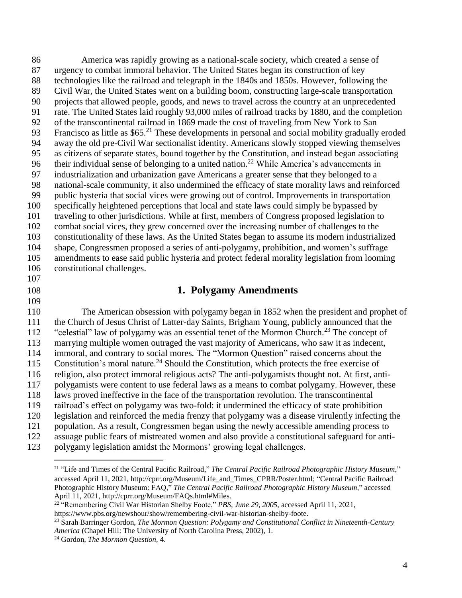America was rapidly growing as a national-scale society, which created a sense of urgency to combat immoral behavior. The United States began its construction of key technologies like the railroad and telegraph in the 1840s and 1850s. However, following the Civil War, the United States went on a building boom, constructing large-scale transportation projects that allowed people, goods, and news to travel across the country at an unprecedented rate. The United States laid roughly 93,000 miles of railroad tracks by 1880, and the completion of the transcontinental railroad in 1869 made the cost of traveling from New York to San 93 Francisco as little as  $$65.<sup>21</sup>$  These developments in personal and social mobility gradually eroded away the old pre-Civil War sectionalist identity. Americans slowly stopped viewing themselves as citizens of separate states, bound together by the Constitution, and instead began associating 96 their individual sense of belonging to a united nation.<sup>22</sup> While America's advancements in industrialization and urbanization gave Americans a greater sense that they belonged to a national-scale community, it also undermined the efficacy of state morality laws and reinforced public hysteria that social vices were growing out of control. Improvements in transportation specifically heightened perceptions that local and state laws could simply be bypassed by traveling to other jurisdictions. While at first, members of Congress proposed legislation to combat social vices, they grew concerned over the increasing number of challenges to the constitutionality of these laws. As the United States began to assume its modern industrialized shape, Congressmen proposed a series of anti-polygamy, prohibition, and women's suffrage amendments to ease said public hysteria and protect federal morality legislation from looming constitutional challenges.

### 

- 
- 

### **1. Polygamy Amendments**

 The American obsession with polygamy began in 1852 when the president and prophet of the Church of Jesus Christ of Latter-day Saints, Brigham Young, publicly announced that the 112 "celestial" law of polygamy was an essential tenet of the Mormon Church.<sup>23</sup> The concept of marrying multiple women outraged the vast majority of Americans, who saw it as indecent, immoral, and contrary to social mores*.* The "Mormon Question" raised concerns about the 115 Constitution's moral nature.<sup>24</sup> Should the Constitution, which protects the free exercise of religion, also protect immoral religious acts? The anti-polygamists thought not. At first, anti- polygamists were content to use federal laws as a means to combat polygamy. However, these laws proved ineffective in the face of the transportation revolution. The transcontinental railroad's effect on polygamy was two-fold: it undermined the efficacy of state prohibition legislation and reinforced the media frenzy that polygamy was a disease virulently infecting the population. As a result, Congressmen began using the newly accessible amending process to assuage public fears of mistreated women and also provide a constitutional safeguard for anti-polygamy legislation amidst the Mormons' growing legal challenges.

 "Remembering Civil War Historian Shelby Foote," *PBS, June 29, 2005,* accessed April 11, 2021, https://www.pbs.org/newshour/show/remembering-civil-war-historian-shelby-foote.

 $\overline{a}$  "Life and Times of the Central Pacific Railroad," *The Central Pacific Railroad Photographic History Museum*," accessed April 11, 2021, [http://cprr.org/Museum/Life\\_and\\_Times\\_CPRR/Poster.html;](http://cprr.org/Museum/Life_and_Times_CPRR/Poster.html) "Central Pacific Railroad Photographic History Museum: FAQ," *The Central Pacific Railroad Photographic History Museum*," accessed April 11, 2021, http://cprr.org/Museum/FAQs.html#Miles.

 Sarah Barringer Gordon, *The Mormon Question: Polygamy and Constitutional Conflict in Nineteenth-Century America* (Chapel Hill: The University of North Carolina Press, 2002), 1.

Gordon, *The Mormon Question,* 4.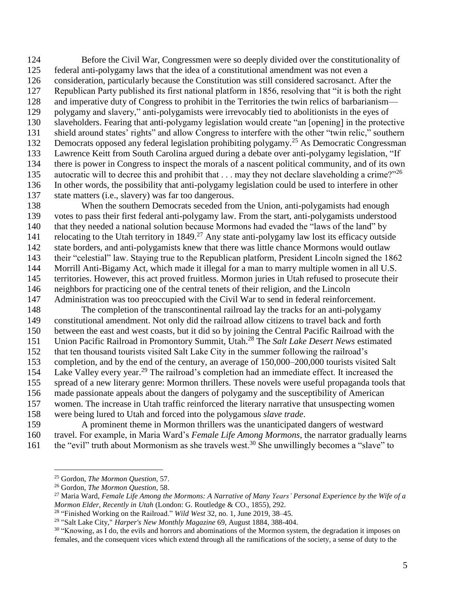Before the Civil War, Congressmen were so deeply divided over the constitutionality of federal anti-polygamy laws that the idea of a constitutional amendment was not even a consideration, particularly because the Constitution was still considered sacrosanct. After the Republican Party published its first national platform in 1856, resolving that "it is both the right and imperative duty of Congress to prohibit in the Territories the twin relics of barbarianism— polygamy and slavery," anti-polygamists were irrevocably tied to abolitionists in the eyes of slaveholders. Fearing that anti-polygamy legislation would create "an [opening] in the protective shield around states' rights" and allow Congress to interfere with the other "twin relic," southern 132 Democrats opposed any federal legislation prohibiting polygamy.<sup>25</sup> As Democratic Congressman Lawrence Keitt from South Carolina argued during a debate over anti-polygamy legislation, "If there is power in Congress to inspect the morals of a nascent political community, and of its own 135 autocratic will to decree this and prohibit that  $\dots$  may they not declare slaveholding a crime?" 26 In other words, the possibility that anti-polygamy legislation could be used to interfere in other state matters (i.e., slavery) was far too dangerous.

 When the southern Democrats seceded from the Union, anti-polygamists had enough votes to pass their first federal anti-polygamy law. From the start, anti-polygamists understood 140 that they needed a national solution because Mormons had evaded the "laws of the land" by 141 relocating to the Utah territory in  $1849<sup>27</sup>$  Any state anti-polygamy law lost its efficacy outside state borders, and anti-polygamists knew that there was little chance Mormons would outlaw their "celestial" law. Staying true to the Republican platform, President Lincoln signed the 1862 Morrill Anti-Bigamy Act, which made it illegal for a man to marry multiple women in all U.S. territories. However, this act proved fruitless. Mormon juries in Utah refused to prosecute their neighbors for practicing one of the central tenets of their religion, and the Lincoln Administration was too preoccupied with the Civil War to send in federal reinforcement.

 The completion of the transcontinental railroad lay the tracks for an anti-polygamy constitutional amendment. Not only did the railroad allow citizens to travel back and forth between the east and west coasts, but it did so by joining the Central Pacific Railroad with the 151 Union Pacific Railroad in Promontory Summit, Utah.<sup>28</sup> The *Salt Lake Desert News* estimated that ten thousand tourists visited Salt Lake City in the summer following the railroad's completion, and by the end of the century, an average of 150,000–200,000 tourists visited Salt 154 Lake Valley every year.<sup>29</sup> The railroad's completion had an immediate effect. It increased the spread of a new literary genre: Mormon thrillers. These novels were useful propaganda tools that made passionate appeals about the dangers of polygamy and the susceptibility of American women. The increase in Utah traffic reinforced the literary narrative that unsuspecting women were being lured to Utah and forced into the polygamous *slave trade*.

 A prominent theme in Mormon thrillers was the unanticipated dangers of westward travel. For example, in Maria Ward's *Female Life Among Mormons*, the narrator gradually learns 161 the "evil" truth about Mormonism as she travels west.<sup>30</sup> She unwillingly becomes a "slave" to

Gordon, *The Mormon Question,* 57.

Gordon, *The Mormon Question,* 58.

<sup>&</sup>lt;sup>27</sup> Maria Ward, Female Life Among the Mormons: A Narrative of Many Years' Personal Experience by the Wife of a *Mormon Elder, Recently in Utah* (London: G. Routledge & CO., 1855), 292.

"Finished Working on the Railroad." *Wild West* 32, no. 1, June 2019, 38–45.

"Salt Lake City," *Harper's New Monthly Magazine* 69, August 1884, 388-404.

<sup>&</sup>lt;sup>30</sup> "Knowing, as I do, the evils and horrors and abominations of the Mormon system, the degradation it imposes on females, and the consequent vices which extend through all the ramifications of the society, a sense of duty to the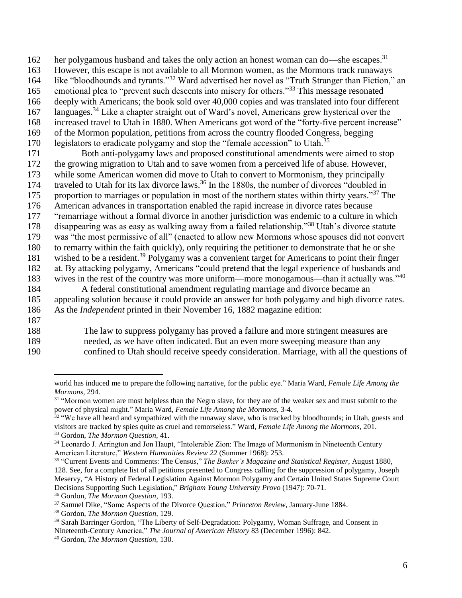her polygamous husband and takes the only action an honest woman can do—she escapes.<sup>31</sup>

163 However, this escape is not available to all Mormon women, as the Mormons track runaways

164 like "bloodhounds and tyrants."<sup>32</sup> Ward advertised her novel as "Truth Stranger than Fiction," an

165 emotional plea to "prevent such descents into misery for others."<sup>33</sup> This message resonated

- 166 deeply with Americans; the book sold over 40,000 copies and was translated into four different 167 languages.<sup>34</sup> Like a chapter straight out of Ward's novel, Americans grew hysterical over the
- 168 increased travel to Utah in 1880. When Americans got word of the "forty-five percent increase"
- 169 of the Mormon population, petitions from across the country flooded Congress, begging
- 170 legislators to eradicate polygamy and stop the "female accession" to Utah.<sup>35</sup>

 Both anti-polygamy laws and proposed constitutional amendments were aimed to stop the growing migration to Utah and to save women from a perceived life of abuse. However, while some American women did move to Utah to convert to Mormonism, they principally 174 traveled to Utah for its lax divorce laws.<sup>36</sup> In the 1880s, the number of divorces "doubled in 175 proportion to marriages or population in most of the northern states within thirty years."<sup>37</sup> The American advances in transportation enabled the rapid increase in divorce rates because "remarriage without a formal divorce in another jurisdiction was endemic to a culture in which 178 disappearing was as easy as walking away from a failed relationship."<sup>38</sup> Utah's divorce statute was "the most permissive of all" (enacted to allow new Mormons whose spouses did not convert to remarry within the faith quickly), only requiring the petitioner to demonstrate that he or she 181 wished to be a resident.<sup>39</sup> Polygamy was a convenient target for Americans to point their finger at. By attacking polygamy, Americans "could pretend that the legal experience of husbands and 183 wives in the rest of the country was more uniform—more monogamous—than it actually was."<sup>40</sup> A federal constitutional amendment regulating marriage and divorce became an

185 appealing solution because it could provide an answer for both polygamy and high divorce rates. 186 As the *Independent* printed in their November 16, 1882 magazine edition:

187

 $\overline{a}$ 

188 The law to suppress polygamy has proved a failure and more stringent measures are

- 189 needed, as we have often indicated. But an even more sweeping measure than any
- 190 confined to Utah should receive speedy consideration. Marriage, with all the questions of

world has induced me to prepare the following narrative, for the public eye." Maria Ward, *Female Life Among the Mormons,* 294.

<sup>&</sup>lt;sup>31</sup> "Mormon women are most helpless than the Negro slave, for they are of the weaker sex and must submit to the power of physical might." Maria Ward, *Female Life Among the Mormons*, 3-4.

<sup>&</sup>lt;sup>32</sup> "We have all heard and sympathized with the runaway slave, who is tracked by bloodhounds; in Utah, guests and visitors are tracked by spies quite as cruel and remorseless." Ward, *Female Life Among the Mormons*, 201. <sup>33</sup> Gordon, *The Mormon Question,* 41.

<sup>34</sup> Leonardo J. Arrington and Jon Haupt, "Intolerable Zion: The Image of Mormonism in Nineteenth Century American Literature," *Western Humanities Review 22* (Summer 1968): 253.

<sup>35</sup> "Current Events and Comments: The Census," *The Banker's Magazine and Statistical Register,* August 1880, 128. See, for a complete list of all petitions presented to Congress calling for the suppression of polygamy, Joseph Meservy, "A History of Federal Legislation Against Mormon Polygamy and Certain United States Supreme Court Decisions Supporting Such Legislation," *Brigham Young University Provo* (1947): 70-71.

<sup>36</sup> Gordon, *The Mormon Question*, 193.

<sup>37</sup> Samuel Dike, "Some Aspects of the Divorce Question," *Princeton Review,* January-June 1884.

<sup>38</sup> Gordon, *The Mormon Question,* 129.

<sup>&</sup>lt;sup>39</sup> Sarah Barringer Gordon, "The Liberty of Self-Degradation: Polygamy, Woman Suffrage, and Consent in Nineteenth-Century America," *The Journal of American History* 83 (December 1996): 842. <sup>40</sup> Gordon, *The Mormon Question,* 130.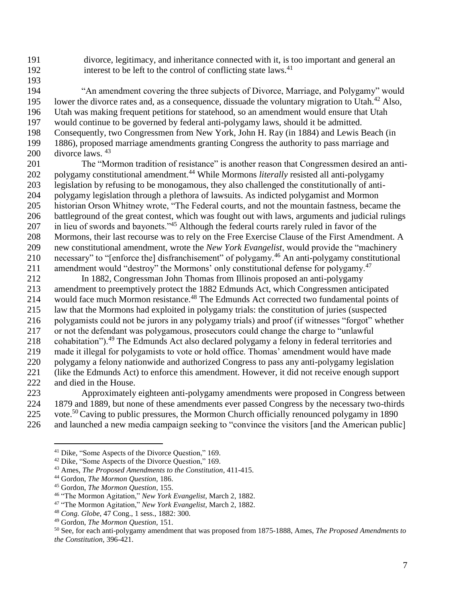divorce, legitimacy, and inheritance connected with it, is too important and general an 192 interest to be left to the control of conflicting state laws.<sup>41</sup>

 "An amendment covering the three subjects of Divorce, Marriage, and Polygamy" would 195 Iower the divorce rates and, as a consequence, dissuade the voluntary migration to Utah.<sup>42</sup> Also, Utah was making frequent petitions for statehood, so an amendment would ensure that Utah would continue to be governed by federal anti-polygamy laws, should it be admitted. Consequently, two Congressmen from New York, John H. Ray (in 1884) and Lewis Beach (in 1886), proposed marriage amendments granting Congress the authority to pass marriage and 200 divorce laws. The "Mormon tradition of resistance" is another reason that Congressmen desired an anti-

202 polygamy constitutional amendment.<sup>44</sup> While Mormons *literally* resisted all anti-polygamy legislation by refusing to be monogamous, they also challenged the constitutionally of anti- polygamy legislation through a plethora of lawsuits. As indicted polygamist and Mormon historian Orson Whitney wrote, "The Federal courts, and not the mountain fastness, became the battleground of the great contest, which was fought out with laws, arguments and judicial rulings 207 in lieu of swords and bayonets."<sup>45</sup> Although the federal courts rarely ruled in favor of the 208 Mormons, their last recourse was to rely on the Free Exercise Clause of the First Amendment. A new constitutional amendment, wrote the *New York Evangelist*, would provide the "machinery 210 necessary" to "[enforce the] disfranchisement" of polygamy.<sup>46</sup> An anti-polygamy constitutional 211 amendment would "destroy" the Mormons' only constitutional defense for polygamy.

 In 1882, Congressman John Thomas from Illinois proposed an anti-polygamy amendment to preemptively protect the 1882 Edmunds Act, which Congressmen anticipated 214 would face much Mormon resistance.<sup>48</sup> The Edmunds Act corrected two fundamental points of law that the Mormons had exploited in polygamy trials: the constitution of juries (suspected polygamists could not be jurors in any polygamy trials) and proof (if witnesses "forgot" whether or not the defendant was polygamous, prosecutors could change the charge to "unlawful 218 cohabitation").<sup>49</sup> The Edmunds Act also declared polygamy a felony in federal territories and made it illegal for polygamists to vote or hold office. Thomas' amendment would have made polygamy a felony nationwide and authorized Congress to pass any anti-polygamy legislation (like the Edmunds Act) to enforce this amendment. However, it did not receive enough support and died in the House.

 Approximately eighteen anti-polygamy amendments were proposed in Congress between 1879 and 1889, but none of these amendments ever passed Congress by the necessary two-thirds 225 vote.<sup>50</sup> Caving to public pressures, the Mormon Church officially renounced polygamy in 1890 and launched a new media campaign seeking to "convince the visitors [and the American public]

 $\overline{a}$ 

Dike, "Some Aspects of the Divorce Question," 169.

Dike, "Some Aspects of the Divorce Question," 169.

Ames, *The Proposed Amendments to the Constitution,* 411-415.

Gordon, *The Mormon Question,* 186.

Gordon, *The Mormon Question*, 155.

"The Mormon Agitation," *New York Evangelist*, March 2, 1882.

"The Mormon Agitation," *New York Evangelist*, March 2, 1882.

*Cong. Globe*, 47 Cong., 1 sess., 1882: 300.

Gordon, *The Mormon Question,* 151.

 See, for each anti-polygamy amendment that was proposed from 1875-1888, Ames, *The Proposed Amendments to the Constitution,* 396-421.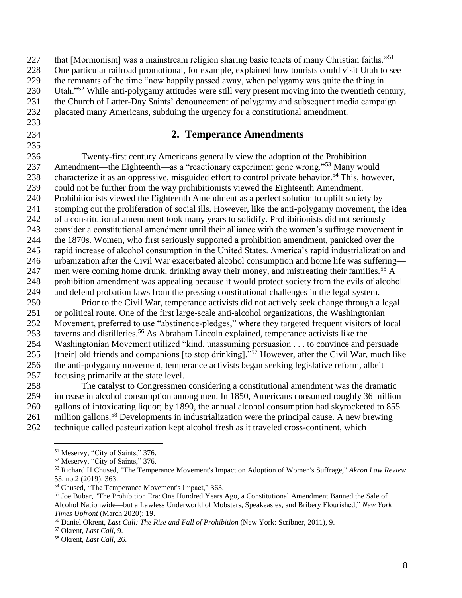| 228 | One particular railroad promotional, for example, explained how tourists could visit Utah to see              |
|-----|---------------------------------------------------------------------------------------------------------------|
| 229 | the remnants of the time "now happily passed away, when polygamy was quite the thing in                       |
| 230 | Utah." <sup>52</sup> While anti-polygamy attitudes were still very present moving into the twentieth century, |

 the Church of Latter-Day Saints' denouncement of polygamy and subsequent media campaign placated many Americans, subduing the urgency for a constitutional amendment.

227 that [Mormonism] was a mainstream religion sharing basic tenets of many Christian faiths."<sup>51</sup>

- 
- 

## **2. Temperance Amendments**

 Twenty-first century Americans generally view the adoption of the Prohibition 237 Amendment—the Eighteenth—as a "reactionary experiment gone wrong."<sup>53</sup> Many would 238 characterize it as an oppressive, misguided effort to control private behavior.<sup>54</sup> This, however, could not be further from the way prohibitionists viewed the Eighteenth Amendment. Prohibitionists viewed the Eighteenth Amendment as a perfect solution to uplift society by stomping out the proliferation of social ills. However, like the anti-polygamy movement, the idea of a constitutional amendment took many years to solidify. Prohibitionists did not seriously consider a constitutional amendment until their alliance with the women's suffrage movement in the 1870s. Women, who first seriously supported a prohibition amendment, panicked over the rapid increase of alcohol consumption in the United States. America's rapid industrialization and urbanization after the Civil War exacerbated alcohol consumption and home life was suffering— 247 men were coming home drunk, drinking away their money, and mistreating their families.<sup>55</sup> A prohibition amendment was appealing because it would protect society from the evils of alcohol and defend probation laws from the pressing constitutional challenges in the legal system.

 Prior to the Civil War, temperance activists did not actively seek change through a legal or political route. One of the first large-scale anti-alcohol organizations, the Washingtonian Movement, preferred to use "abstinence-pledges," where they targeted frequent visitors of local 253 taverns and distilleries.<sup>56</sup> As Abraham Lincoln explained, temperance activists like the Washingtonian Movement utilized "kind, unassuming persuasion . . . to convince and persuade 255 [their] old friends and companions [to stop drinking].<sup>57</sup> However, after the Civil War, much like the anti-polygamy movement, temperance activists began seeking legislative reform, albeit focusing primarily at the state level.

 The catalyst to Congressmen considering a constitutional amendment was the dramatic increase in alcohol consumption among men. In 1850, Americans consumed roughly 36 million gallons of intoxicating liquor; by 1890, the annual alcohol consumption had skyrocketed to 855 261 million gallons.<sup>58</sup> Developments in industrialization were the principal cause. A new brewing technique called pasteurization kept alcohol fresh as it traveled cross-continent, which

Meservy, "City of Saints," 376.

Meservy, "City of Saints," 376.

 Richard H Chused, "The Temperance Movement's Impact on Adoption of Women's Suffrage," *Akron Law Review* 53, no.2 (2019): 363.

Chused, "The Temperance Movement's Impact," 363.

 Joe Bubar, "The Prohibition Era: One Hundred Years Ago, a Constitutional Amendment Banned the Sale of Alcohol Nationwide—but a Lawless Underworld of Mobsters, Speakeasies, and Bribery Flourished," *New York Times Upfront* (March 2020): 19.

Daniel Okrent, *Last Call: The Rise and Fall of Prohibition* (New York: Scribner, 2011), 9.

Okrent, *Last Call,* 9.

Okrent, *Last Call,* 26.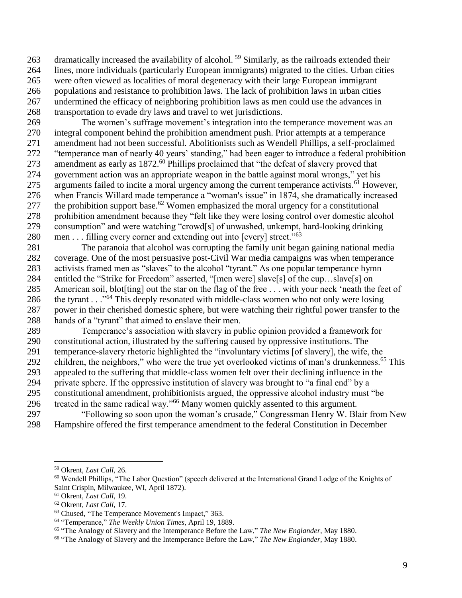263 dramatically increased the availability of alcohol.<sup>59</sup> Similarly, as the railroads extended their lines, more individuals (particularly European immigrants) migrated to the cities. Urban cities were often viewed as localities of moral degeneracy with their large European immigrant populations and resistance to prohibition laws. The lack of prohibition laws in urban cities undermined the efficacy of neighboring prohibition laws as men could use the advances in transportation to evade dry laws and travel to wet jurisdictions.

 The women's suffrage movement's integration into the temperance movement was an integral component behind the prohibition amendment push. Prior attempts at a temperance amendment had not been successful. Abolitionists such as Wendell Phillips, a self-proclaimed "temperance man of nearly 40 years' standing," had been eager to introduce a federal prohibition 273 amendment as early as 1872.<sup>60</sup> Phillips proclaimed that "the defeat of slavery proved that government action was an appropriate weapon in the battle against moral wrongs," yet his 275 arguments failed to incite a moral urgency among the current temperance activists.<sup>61</sup> However, when Francis Willard made temperance a "woman's issue" in 1874, she dramatically increased 277 the prohibition support base.<sup> $62$ </sup> Women emphasized the moral urgency for a constitutional prohibition amendment because they "felt like they were losing control over domestic alcohol consumption" and were watching "crowd[s] of unwashed, unkempt, hard-looking drinking 280 men  $\dots$  filling every corner and extending out into [every] street.<sup> $10,03$ </sup>

 The paranoia that alcohol was corrupting the family unit began gaining national media coverage. One of the most persuasive post-Civil War media campaigns was when temperance activists framed men as "slaves" to the alcohol "tyrant." As one popular temperance hymn entitled the "Strike for Freedom" asserted, "[men were] slave[s] of the cup…slave[s] on American soil, blot[ting] out the star on the flag of the free . . . with your neck 'neath the feet of the tyrant . . ."<sup>64</sup> This deeply resonated with middle-class women who not only were losing power in their cherished domestic sphere, but were watching their rightful power transfer to the hands of a "tyrant" that aimed to enslave their men.

 Temperance's association with slavery in public opinion provided a framework for constitutional action, illustrated by the suffering caused by oppressive institutions. The temperance-slavery rhetoric highlighted the "involuntary victims [of slavery], the wife, the 292 children, the neighbors," who were the true yet overlooked victims of man's drunkenness.<sup>65</sup> This appealed to the suffering that middle-class women felt over their declining influence in the private sphere. If the oppressive institution of slavery was brought to "a final end" by a constitutional amendment, prohibitionists argued, the oppressive alcohol industry must "be 296 treated in the same radical way." Many women quickly assented to this argument.

 "Following so soon upon the woman's crusade," Congressman Henry W. Blair from New Hampshire offered the first temperance amendment to the federal Constitution in December

Okrent, *Last Call,* 26.

 Wendell Phillips, "The Labor Question" (speech delivered at the International Grand Lodge of the Knights of Saint Crispin, Milwaukee, WI, April 1872).

Okrent, *Last Call*, 19.

Okrent, *Last Call*, 17.

Chused, "The Temperance Movement's Impact," 363.

"Temperance," *The Weekly Union Times*, April 19, 1889.

"The Analogy of Slavery and the Intemperance Before the Law," *The New Englander,* May 1880.

"The Analogy of Slavery and the Intemperance Before the Law," *The New Englander,* May 1880.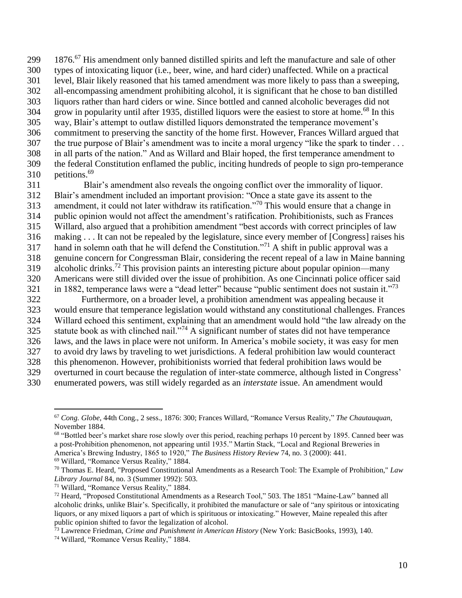299 1876.<sup>67</sup> His amendment only banned distilled spirits and left the manufacture and sale of other types of intoxicating liquor (i.e., beer, wine, and hard cider) unaffected. While on a practical level, Blair likely reasoned that his tamed amendment was more likely to pass than a sweeping, all-encompassing amendment prohibiting alcohol, it is significant that he chose to ban distilled liquors rather than hard ciders or wine. Since bottled and canned alcoholic beverages did not grow in popularity until after 1935, distilled liquors were the easiest to store at home.<sup>68</sup> In this way, Blair's attempt to outlaw distilled liquors demonstrated the temperance movement's commitment to preserving the sanctity of the home first. However, Frances Willard argued that 307 the true purpose of Blair's amendment was to incite a moral urgency "like the spark to tinder ... in all parts of the nation." And as Willard and Blair hoped, the first temperance amendment to the federal Constitution enflamed the public, inciting hundreds of people to sign pro-temperance petitions.<sup>69</sup>

 Blair's amendment also reveals the ongoing conflict over the immorality of liquor. Blair's amendment included an important provision: "Once a state gave its assent to the 313 amendment, it could not later withdraw its ratification."<sup>70</sup> This would ensure that a change in public opinion would not affect the amendment's ratification. Prohibitionists, such as Frances Willard, also argued that a prohibition amendment "best accords with correct principles of law making . . . It can not be repealed by the legislature, since every member of [Congress] raises his 317 hand in solemn oath that he will defend the Constitution."<sup>71</sup> A shift in public approval was a genuine concern for Congressman Blair, considering the recent repeal of a law in Maine banning 319 alcoholic drinks.<sup>72</sup> This provision paints an interesting picture about popular opinion—many Americans were still divided over the issue of prohibition. As one Cincinnati police officer said 321 in 1882, temperance laws were a "dead letter" because "public sentiment does not sustain it."<sup>73</sup> Furthermore, on a broader level, a prohibition amendment was appealing because it

 would ensure that temperance legislation would withstand any constitutional challenges. Frances Willard echoed this sentiment, explaining that an amendment would hold "the law already on the 325 statute book as with clinched nail. $1.774$  A significant number of states did not have temperance laws, and the laws in place were not uniform. In America's mobile society, it was easy for men to avoid dry laws by traveling to wet jurisdictions. A federal prohibition law would counteract this phenomenon. However, prohibitionists worried that federal prohibition laws would be overturned in court because the regulation of inter-state commerce, although listed in Congress'

enumerated powers, was still widely regarded as an *interstate* issue. An amendment would

 *Cong. Globe*, 44th Cong., 2 sess., 1876: 300; Frances Willard, "Romance Versus Reality," *The Chautauquan*, November 1884.

<sup>&</sup>lt;sup>68</sup> "Bottled beer's market share rose slowly over this period, reaching perhaps 10 percent by 1895. Canned beer was a post-Prohibition phenomenon, not appearing until 1935." Martin Stack, "Local and Regional Breweries in America's Brewing Industry, 1865 to 1920," *The Business History Review* 74, no. 3 (2000): 441. Willard, "Romance Versus Reality," 1884.

 Thomas E. Heard, "Proposed Constitutional Amendments as a Research Tool: The Example of Prohibition," *Law Library Journal* 84, no. 3 (Summer 1992): 503.

Willard, "Romance Versus Reality," 1884.

 Heard, "Proposed Constitutional Amendments as a Research Tool," 503. The 1851 "Maine-Law" banned all alcoholic drinks, unlike Blair's. Specifically, it prohibited the manufacture or sale of "any spiritous or intoxicating liquors, or any mixed liquors a part of which is spirituous or intoxicating." However, Maine repealed this after public opinion shifted to favor the legalization of alcohol.

Lawrence Friedman, *Crime and Punishment in American History* (New York: BasicBooks, 1993), 140.

Willard, "Romance Versus Reality," 1884.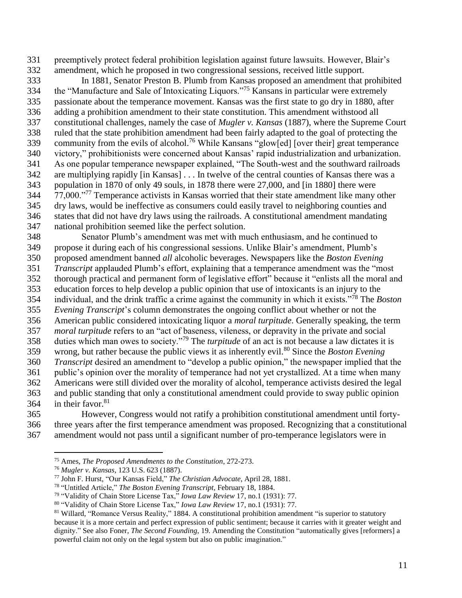preemptively protect federal prohibition legislation against future lawsuits. However, Blair's amendment, which he proposed in two congressional sessions, received little support.

 In 1881, Senator Preston B. Plumb from Kansas proposed an amendment that prohibited 334 the "Manufacture and Sale of Intoxicating Liquors."<sup>75</sup> Kansans in particular were extremely passionate about the temperance movement. Kansas was the first state to go dry in 1880, after adding a prohibition amendment to their state constitution. This amendment withstood all constitutional challenges, namely the case of *Mugler v. Kansas* (1887), where the Supreme Court ruled that the state prohibition amendment had been fairly adapted to the goal of protecting the 339 community from the evils of alcohol.<sup>76</sup> While Kansans "glow[ed] [over their] great temperance victory," prohibitionists were concerned about Kansas' rapid industrialization and urbanization. As one popular temperance newspaper explained, "The South-west and the southward railroads are multiplying rapidly [in Kansas] . . . In twelve of the central counties of Kansas there was a population in 1870 of only 49 souls, in 1878 there were 27,000, and [in 1880] there were 344 77,000."<sup>77</sup> Temperance activists in Kansas worried that their state amendment like many other dry laws, would be ineffective as consumers could easily travel to neighboring counties and states that did not have dry laws using the railroads. A constitutional amendment mandating national prohibition seemed like the perfect solution.

 Senator Plumb's amendment was met with much enthusiasm, and he continued to propose it during each of his congressional sessions. Unlike Blair's amendment, Plumb's proposed amendment banned *all* alcoholic beverages. Newspapers like the *Boston Evening Transcript* applauded Plumb's effort, explaining that a temperance amendment was the "most thorough practical and permanent form of legislative effort" because it "enlists all the moral and education forces to help develop a public opinion that use of intoxicants is an injury to the 354 individual, and the drink traffic a crime against the community in which it exists."<sup>78</sup> The *Boston Evening Transcript*'s column demonstrates the ongoing conflict about whether or not the American public considered intoxicating liquor a *moral turpitude*. Generally speaking, the term *moral turpitude* refers to an "act of baseness, vileness, or depravity in the private and social 358 duties which man owes to society."<sup>79</sup> The *turpitude* of an act is not because a law dictates it is 359 wrong, but rather because the public views it as inherently evil.<sup>80</sup> Since the *Boston Evening Transcript* desired an amendment to "develop a public opinion," the newspaper implied that the public's opinion over the morality of temperance had not yet crystallized. At a time when many Americans were still divided over the morality of alcohol, temperance activists desired the legal and public standing that only a constitutional amendment could provide to sway public opinion 364 in their favor.

 However, Congress would not ratify a prohibition constitutional amendment until forty- three years after the first temperance amendment was proposed. Recognizing that a constitutional amendment would not pass until a significant number of pro-temperance legislators were in

Ames, *The Proposed Amendments to the Constitution*, 272-273.

*Mugler v. Kansas,* 123 U.S. 623 (1887).

John F. Hurst, "Our Kansas Field," *The Christian Advocate*, April 28, 1881.

"Untitled Article," *The Boston Evening Transcript,* February 18, 1884.

"Validity of Chain Store License Tax," *Iowa Law Review* 17, no.1 (1931): 77.

"Validity of Chain Store License Tax," *Iowa Law Review* 17, no.1 (1931): 77.

<sup>&</sup>lt;sup>81</sup> Willard, "Romance Versus Reality," 1884. A constitutional prohibition amendment "is superior to statutory because it is a more certain and perfect expression of public sentiment; because it carries with it greater weight and dignity." See also Foner, *The Second Founding*, 19. Amending the Constitution "automatically gives [reformers] a powerful claim not only on the legal system but also on public imagination."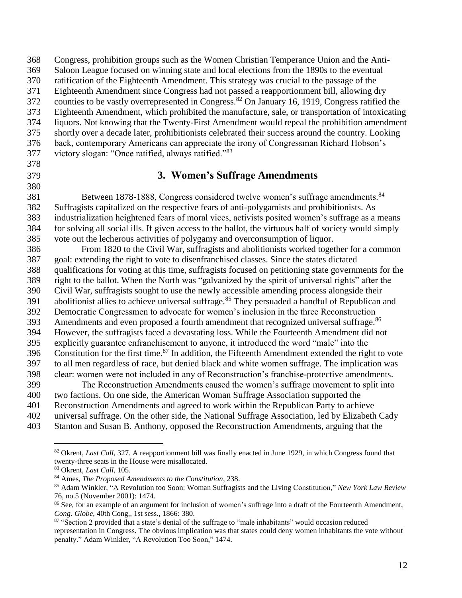Congress, prohibition groups such as the Women Christian Temperance Union and the Anti- Saloon League focused on winning state and local elections from the 1890s to the eventual ratification of the Eighteenth Amendment. This strategy was crucial to the passage of the Eighteenth Amendment since Congress had not passed a reapportionment bill, allowing dry 372 counties to be vastly overrepresented in Congress.<sup>82</sup> On January 16, 1919, Congress ratified the Eighteenth Amendment, which prohibited the manufacture, sale, or transportation of intoxicating liquors. Not knowing that the Twenty-First Amendment would repeal the prohibition amendment shortly over a decade later, prohibitionists celebrated their success around the country. Looking back, contemporary Americans can appreciate the irony of Congressman Richard Hobson's 377 victory slogan: "Once ratified, always ratified." **3. Women's Suffrage Amendments** Between 1878-1888, Congress considered twelve women's suffrage amendments.<sup>84</sup> Suffragists capitalized on the respective fears of anti-polygamists and prohibitionists. As

 industrialization heightened fears of moral vices, activists posited women's suffrage as a means for solving all social ills. If given access to the ballot, the virtuous half of society would simply vote out the lecherous activities of polygamy and overconsumption of liquor.

 From 1820 to the Civil War, suffragists and abolitionists worked together for a common goal: extending the right to vote to disenfranchised classes. Since the states dictated qualifications for voting at this time, suffragists focused on petitioning state governments for the right to the ballot. When the North was "galvanized by the spirit of universal rights" after the Civil War, suffragists sought to use the newly accessible amending process alongside their 391 abolitionist allies to achieve universal suffrage.<sup>85</sup> They persuaded a handful of Republican and Democratic Congressmen to advocate for women's inclusion in the three Reconstruction Amendments and even proposed a fourth amendment that recognized universal suffrage.<sup>86</sup> However, the suffragists faced a devastating loss. While the Fourteenth Amendment did not explicitly guarantee enfranchisement to anyone, it introduced the word "male" into the 396 Constitution for the first time.<sup>87</sup> In addition, the Fifteenth Amendment extended the right to vote to all men regardless of race, but denied black and white women suffrage. The implication was clear: women were not included in any of Reconstruction's franchise-protective amendments.

- The Reconstruction Amendments caused the women's suffrage movement to split into
- two factions. On one side, the American Woman Suffrage Association supported the
- Reconstruction Amendments and agreed to work within the Republican Party to achieve
- universal suffrage. On the other side, the National Suffrage Association, led by Elizabeth Cady
- Stanton and Susan B. Anthony, opposed the Reconstruction Amendments, arguing that the

 $\overline{a}$  Okrent, *Last Call*, 327. A reapportionment bill was finally enacted in June 1929, in which Congress found that twenty-three seats in the House were misallocated.

Okrent, *Last Call*, 105.

Ames, *The Proposed Amendments to the Constitution,* 238.

 Adam Winkler, "A Revolution too Soon: Woman Suffragists and the Living Constitution," *New York Law Review* 76, no.5 (November 2001): 1474.

 See, for an example of an argument for inclusion of women's suffrage into a draft of the Fourteenth Amendment, *Cong. Globe*, 40th Cong,, 1st sess., 1866: 380.

<sup>87 &</sup>quot;Section 2 provided that a state's denial of the suffrage to "male inhabitants" would occasion reduced representation in Congress. The obvious implication was that states could deny women inhabitants the vote without penalty." Adam Winkler, "A Revolution Too Soon," 1474.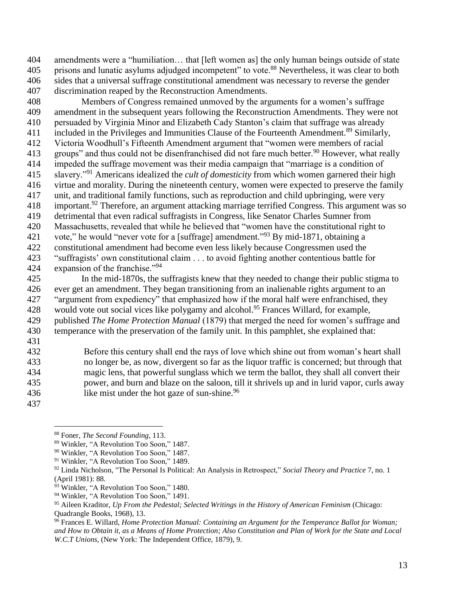amendments were a "humiliation… that [left women as] the only human beings outside of state 405 prisons and lunatic asylums adjudged incompetent" to vote.<sup>88</sup> Nevertheless, it was clear to both sides that a universal suffrage constitutional amendment was necessary to reverse the gender discrimination reaped by the Reconstruction Amendments.

 Members of Congress remained unmoved by the arguments for a women's suffrage amendment in the subsequent years following the Reconstruction Amendments. They were not persuaded by Virginia Minor and Elizabeth Cady Stanton's claim that suffrage was already 411 included in the Privileges and Immunities Clause of the Fourteenth Amendment.<sup>89</sup> Similarly, Victoria Woodhull's Fifteenth Amendment argument that "women were members of racial 413 groups" and thus could not be disenfranchised did not fare much better.<sup>90</sup> However, what really impeded the suffrage movement was their media campaign that "marriage is a condition of slavery."<sup>91</sup> Americans idealized the *cult of domesticity* from which women garnered their high virtue and morality. During the nineteenth century, women were expected to preserve the family unit, and traditional family functions, such as reproduction and child upbringing, were very important.<sup>92</sup> Therefore, an argument attacking marriage terrified Congress. This argument was so detrimental that even radical suffragists in Congress, like Senator Charles Sumner from Massachusetts, revealed that while he believed that "women have the constitutional right to 421 vote," he would "never vote for a [suffrage] amendment."<sup>93</sup> By mid-1871, obtaining a constitutional amendment had become even less likely because Congressmen used the "suffragists' own constitutional claim . . . to avoid fighting another contentious battle for 424 expansion of the franchise."<sup>94</sup>

 In the mid-1870s, the suffragists knew that they needed to change their public stigma to ever get an amendment. They began transitioning from an inalienable rights argument to an "argument from expediency" that emphasized how if the moral half were enfranchised, they 428 would vote out social vices like polygamy and alcohol.<sup>95</sup> Frances Willard, for example, published *The Home Protection Manual* (1879) that merged the need for women's suffrage and temperance with the preservation of the family unit. In this pamphlet, she explained that:

 Before this century shall end the rays of love which shine out from woman's heart shall no longer be, as now, divergent so far as the liquor traffic is concerned; but through that magic lens, that powerful sunglass which we term the ballot, they shall all convert their power, and burn and blaze on the saloon, till it shrivels up and in lurid vapor, curls away 436 like mist under the hot gaze of sun-shine.

Foner, *The Second Founding*, 113.

Winkler, "A Revolution Too Soon," 1487.

Winkler, "A Revolution Too Soon," 1487.

<sup>&</sup>lt;sup>91</sup> Winkler, "A Revolution Too Soon," 1489.

 Linda Nicholson, "The Personal Is Political: An Analysis in Retrospect," *Social Theory and Practice* 7, no. 1 (April 1981): 88.

<sup>&</sup>lt;sup>93</sup> Winkler, "A Revolution Too Soon," 1480.

<sup>&</sup>lt;sup>94</sup> Winkler, "A Revolution Too Soon," 1491.

 Aileen Kraditor, *Up From the Pedestal; Selected Writings in the History of American Feminism* (Chicago: Quadrangle Books, 1968), 13.

 Frances E. Willard, *Home Protection Manual: Containing an Argument for the Temperance Ballot for Woman;* and How to Obtain it, as a Means of Home Protection; Also Constitution and Plan of Work for the State and Local *W.C.T Unions,* (New York: The Independent Office, 1879), 9.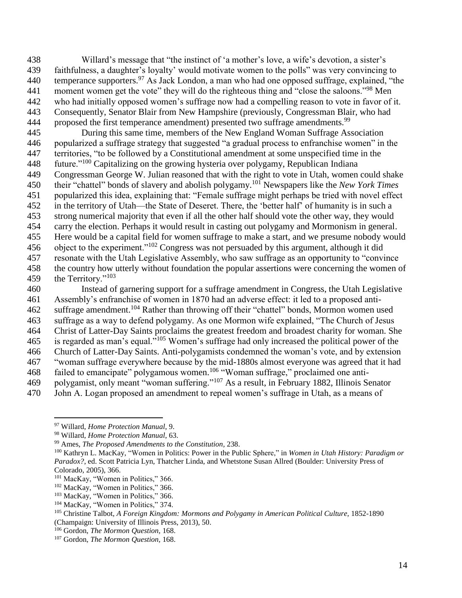Willard's message that "the instinct of 'a mother's love, a wife's devotion, a sister's faithfulness, a daughter's loyalty' would motivate women to the polls" was very convincing to 440 temperance supporters.<sup>97</sup> As Jack London, a man who had one opposed suffrage, explained, "the 441 moment women get the vote" they will do the righteous thing and "close the saloons."<sup>98</sup> Men who had initially opposed women's suffrage now had a compelling reason to vote in favor of it. Consequently, Senator Blair from New Hampshire (previously, Congressman Blair, who had proposed the first temperance amendment) presented two suffrage amendments.<sup>99</sup>

 During this same time, members of the New England Woman Suffrage Association popularized a suffrage strategy that suggested "a gradual process to enfranchise women" in the territories, "to be followed by a Constitutional amendment at some unspecified time in the 448 future."<sup>100</sup> Capitalizing on the growing hysteria over polygamy, Republican Indiana Congressman George W. Julian reasoned that with the right to vote in Utah, women could shake their "chattel" bonds of slavery and abolish polygamy.<sup>101</sup> Newspapers like the *New York Times* popularized this idea, explaining that: "Female suffrage might perhaps be tried with novel effect in the territory of Utah—the State of Deseret. There, the 'better half' of humanity is in such a strong numerical majority that even if all the other half should vote the other way, they would carry the election. Perhaps it would result in casting out polygamy and Mormonism in general. Here would be a capital field for women suffrage to make a start, and we presume nobody would 456 object to the experiment."<sup>102</sup> Congress was not persuaded by this argument, although it did resonate with the Utah Legislative Assembly, who saw suffrage as an opportunity to "convince the country how utterly without foundation the popular assertions were concerning the women of 459 the Territory."<sup>103</sup>

 Instead of garnering support for a suffrage amendment in Congress, the Utah Legislative Assembly's enfranchise of women in 1870 had an adverse effect: it led to a proposed anti-462 suffrage amendment.<sup>104</sup> Rather than throwing off their "chattel" bonds, Mormon women used suffrage as a way to defend polygamy. As one Mormon wife explained, "The Church of Jesus Christ of Latter-Day Saints proclaims the greatest freedom and broadest charity for woman. She 465 is regarded as man's equal.<sup> $105$ </sup> Women's suffrage had only increased the political power of the Church of Latter-Day Saints. Anti-polygamists condemned the woman's vote, and by extension "woman suffrage everywhere because by the mid-1880s almost everyone was agreed that it had failed to emancipate" polygamous women.<sup>106</sup> "Woman suffrage," proclaimed one anti-469 polygamist, only meant "woman suffering."<sup>107</sup> As a result, in February 1882, Illinois Senator John A. Logan proposed an amendment to repeal women's suffrage in Utah, as a means of

Willard, *Home Protection Manual*, 9.

Willard, *Home Protection Manual*, 63.

Ames, *The Proposed Amendments to the Constitution,* 238.

 Kathryn L. MacKay, "Women in Politics: Power in the Public Sphere," in *Women in Utah History: Paradigm or Paradox?*, ed. Scott Patricia Lyn, Thatcher Linda, and Whetstone Susan Allred (Boulder: University Press of Colorado, 2005), 366.

<sup>&</sup>lt;sup>101</sup> MacKay, "Women in Politics," 366.

<sup>&</sup>lt;sup>102</sup> MacKay, "Women in Politics," 366.

MacKay, "Women in Politics," 366.

MacKay, "Women in Politics," 374.

 Christine Talbot, *A Foreign Kingdom: Mormons and Polygamy in American Political Culture,* 1852-1890 (Champaign: University of Illinois Press, 2013), 50.

Gordon, *The Mormon Question,* 168.

Gordon, *The Mormon Question,* 168.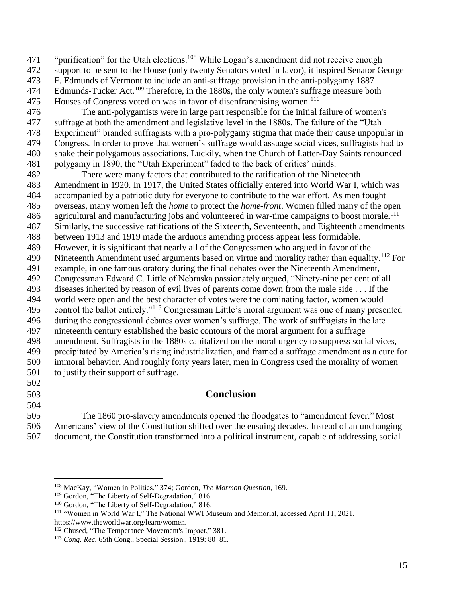471 "purification" for the Utah elections.<sup>108</sup> While Logan's amendment did not receive enough

support to be sent to the House (only twenty Senators voted in favor), it inspired Senator George

F. Edmunds of Vermont to include an anti-suffrage provision in the anti-polygamy 1887

474 Edmunds-Tucker Act.<sup>109</sup> Therefore, in the 1880s, the only women's suffrage measure both 475 Houses of Congress voted on was in favor of disenfranchising women.<sup>110</sup>

 The anti-polygamists were in large part responsible for the initial failure of women's suffrage at both the amendment and legislative level in the 1880s. The failure of the "Utah Experiment" branded suffragists with a pro-polygamy stigma that made their cause unpopular in Congress. In order to prove that women's suffrage would assuage social vices, suffragists had to shake their polygamous associations. Luckily, when the Church of Latter-Day Saints renounced polygamy in 1890, the "Utah Experiment" faded to the back of critics' minds.

 There were many factors that contributed to the ratification of the Nineteenth Amendment in 1920. In 1917, the United States officially entered into World War I, which was accompanied by a patriotic duty for everyone to contribute to the war effort. As men fought overseas, many women left the *home* to protect the *home-front*. Women filled many of the open 486 agricultural and manufacturing jobs and volunteered in war-time campaigns to boost morale.<sup>111</sup> Similarly, the successive ratifications of the Sixteenth, Seventeenth, and Eighteenth amendments between 1913 and 1919 made the arduous amending process appear less formidable. However, it is significant that nearly all of the Congressmen who argued in favor of the 490 Nineteenth Amendment used arguments based on virtue and morality rather than equality.<sup>112</sup> For example, in one famous oratory during the final debates over the Nineteenth Amendment, Congressman Edward C. Little of Nebraska passionately argued, "Ninety-nine per cent of all diseases inherited by reason of evil lives of parents come down from the male side . . . If the world were open and the best character of votes were the dominating factor, women would 495 control the ballot entirely."<sup>113</sup> Congressman Little's moral argument was one of many presented during the congressional debates over women's suffrage. The work of suffragists in the late nineteenth century established the basic contours of the moral argument for a suffrage amendment. Suffragists in the 1880s capitalized on the moral urgency to suppress social vices, precipitated by America's rising industrialization, and framed a suffrage amendment as a cure for immoral behavior. And roughly forty years later, men in Congress used the morality of women to justify their support of suffrage. 

- 
- 

 $\overline{a}$ 

# **Conclusion**

 The 1860 pro-slavery amendments opened the floodgates to "amendment fever." Most Americans' view of the Constitution shifted over the ensuing decades. Instead of an unchanging document, the Constitution transformed into a political instrument, capable of addressing social

MacKay, "Women in Politics," 374; Gordon, *The Mormon Question,* 169.

<sup>&</sup>lt;sup>109</sup> Gordon, "The Liberty of Self-Degradation," 816.

Gordon, "The Liberty of Self-Degradation," 816.

 "Women in World War I," The National WWI Museum and Memorial, accessed April 11, 2021, https://www.theworldwar.org/learn/women.

Chused, "The Temperance Movement's Impact," 381.

*Cong. Rec.* 65th Cong., Special Session., 1919: 80–81.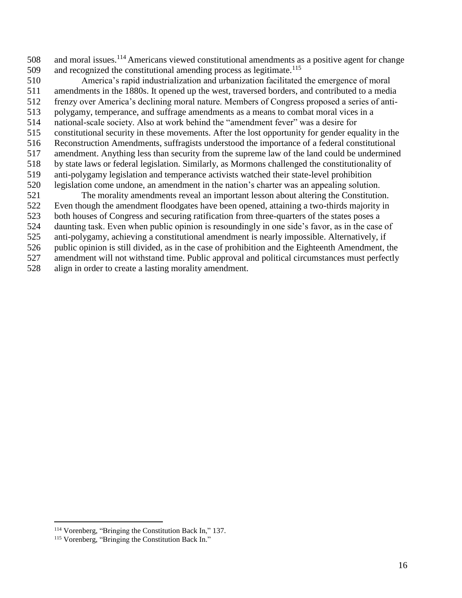and moral issues.<sup>114</sup> Americans viewed constitutional amendments as a positive agent for change 509 and recognized the constitutional amending process as legitimate.<sup>115</sup>

 America's rapid industrialization and urbanization facilitated the emergence of moral amendments in the 1880s. It opened up the west, traversed borders, and contributed to a media frenzy over America's declining moral nature. Members of Congress proposed a series of anti- polygamy, temperance, and suffrage amendments as a means to combat moral vices in a national-scale society. Also at work behind the "amendment fever" was a desire for constitutional security in these movements. After the lost opportunity for gender equality in the Reconstruction Amendments, suffragists understood the importance of a federal constitutional amendment. Anything less than security from the supreme law of the land could be undermined by state laws or federal legislation. Similarly, as Mormons challenged the constitutionality of anti-polygamy legislation and temperance activists watched their state-level prohibition legislation come undone, an amendment in the nation's charter was an appealing solution. The morality amendments reveal an important lesson about altering the Constitution.

Even though the amendment floodgates have been opened, attaining a two-thirds majority in

both houses of Congress and securing ratification from three-quarters of the states poses a

daunting task. Even when public opinion is resoundingly in one side's favor, as in the case of

anti-polygamy, achieving a constitutional amendment is nearly impossible. Alternatively, if

public opinion is still divided, as in the case of prohibition and the Eighteenth Amendment, the

amendment will not withstand time. Public approval and political circumstances must perfectly

align in order to create a lasting morality amendment.

Vorenberg, "Bringing the Constitution Back In," 137.

Vorenberg, "Bringing the Constitution Back In."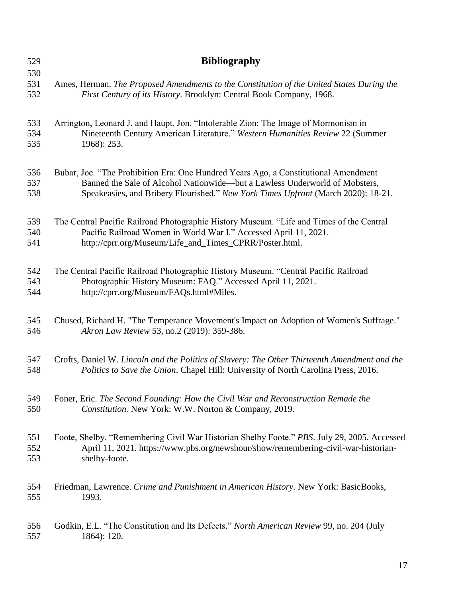| 529<br>530 | <b>Bibliography</b>                                                                             |
|------------|-------------------------------------------------------------------------------------------------|
| 531        | Ames, Herman. The Proposed Amendments to the Constitution of the United States During the       |
| 532        | First Century of its History. Brooklyn: Central Book Company, 1968.                             |
| 533        | Arrington, Leonard J. and Haupt, Jon. "Intolerable Zion: The Image of Mormonism in              |
| 534        | Nineteenth Century American Literature." Western Humanities Review 22 (Summer                   |
| 535        | 1968): 253.                                                                                     |
| 536        | Bubar, Joe. "The Prohibition Era: One Hundred Years Ago, a Constitutional Amendment             |
| 537        | Banned the Sale of Alcohol Nationwide—but a Lawless Underworld of Mobsters,                     |
| 538        | Speakeasies, and Bribery Flourished." New York Times Upfront (March 2020): 18-21.               |
| 539        | The Central Pacific Railroad Photographic History Museum. "Life and Times of the Central        |
| 540        | Pacific Railroad Women in World War I." Accessed April 11, 2021.                                |
| 541        | http://cprr.org/Museum/Life_and_Times_CPRR/Poster.html.                                         |
| 542        | The Central Pacific Railroad Photographic History Museum. "Central Pacific Railroad             |
| 543        | Photographic History Museum: FAQ." Accessed April 11, 2021.                                     |
| 544        | http://cprr.org/Museum/FAQs.html#Miles.                                                         |
| 545        | Chused, Richard H. "The Temperance Movement's Impact on Adoption of Women's Suffrage."          |
| 546        | Akron Law Review 53, no.2 (2019): 359-386.                                                      |
| 547        | Crofts, Daniel W. Lincoln and the Politics of Slavery: The Other Thirteenth Amendment and the   |
| 548        | Politics to Save the Union. Chapel Hill: University of North Carolina Press, 2016.              |
| 549        | Foner, Eric. The Second Founding: How the Civil War and Reconstruction Remade the               |
| 550        | Constitution. New York: W.W. Norton & Company, 2019.                                            |
| 551        | Foote, Shelby. "Remembering Civil War Historian Shelby Foote." PBS. July 29, 2005. Accessed     |
| 552        | April 11, 2021. https://www.pbs.org/newshour/show/remembering-civil-war-historian-              |
| 553        | shelby-foote.                                                                                   |
| 554        | Friedman, Lawrence. Crime and Punishment in American History. New York: BasicBooks,             |
| 555        | 1993.                                                                                           |
| 556        | Godkin, E.L. "The Constitution and Its Defects." <i>North American Review</i> 99, no. 204 (July |
| 557        | 1864): 120.                                                                                     |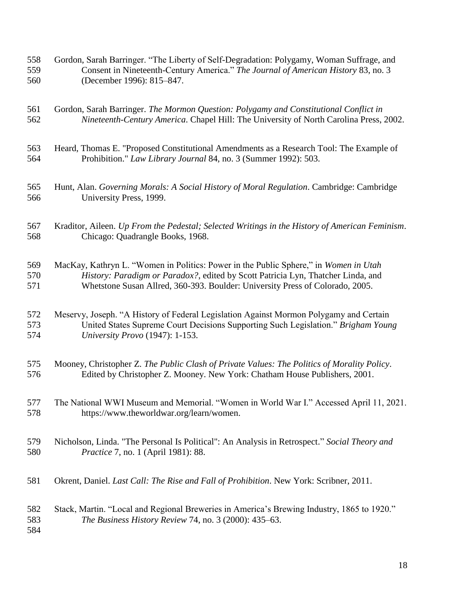- Gordon, Sarah Barringer. "The Liberty of Self-Degradation: Polygamy, Woman Suffrage, and Consent in Nineteenth-Century America." *The Journal of American History* 83, no. 3 (December 1996): 815–847.
- Gordon, Sarah Barringer. *The Mormon Question: Polygamy and Constitutional Conflict in Nineteenth-Century America*. Chapel Hill: The University of North Carolina Press, 2002.
- Heard, Thomas E. "Proposed Constitutional Amendments as a Research Tool: The Example of Prohibition." *Law Library Journal* 84, no. 3 (Summer 1992): 503.
- Hunt, Alan. *Governing Morals: A Social History of Moral Regulation*. Cambridge: Cambridge University Press, 1999.
- Kraditor, Aileen. *Up From the Pedestal; Selected Writings in the History of American Feminism*. Chicago: Quadrangle Books, 1968.

 MacKay, Kathryn L. "Women in Politics: Power in the Public Sphere," in *Women in Utah History: Paradigm or Paradox?*, edited by Scott Patricia Lyn, Thatcher Linda, and Whetstone Susan Allred, 360-393. Boulder: University Press of Colorado, 2005.

 Meservy, Joseph. "A History of Federal Legislation Against Mormon Polygamy and Certain United States Supreme Court Decisions Supporting Such Legislation." *Brigham Young University Provo* (1947): 1-153.

- Mooney, Christopher Z. *The Public Clash of Private Values: The Politics of Morality Policy*. Edited by Christopher Z. Mooney. New York: Chatham House Publishers, 2001.
- The National WWI Museum and Memorial. "Women in World War I." Accessed April 11, 2021. [https://www.theworldwar.org/learn/women.](https://www.theworldwar.org/learn/women)
- Nicholson, Linda. "The Personal Is Political": An Analysis in Retrospect." *Social Theory and Practice* 7, no. 1 (April 1981): 88.
- Okrent, Daniel. *Last Call: The Rise and Fall of Prohibition*. New York: Scribner, 2011.
- Stack, Martin. "Local and Regional Breweries in America's Brewing Industry, 1865 to 1920." *The Business History Review* 74, no. 3 (2000): 435–63.